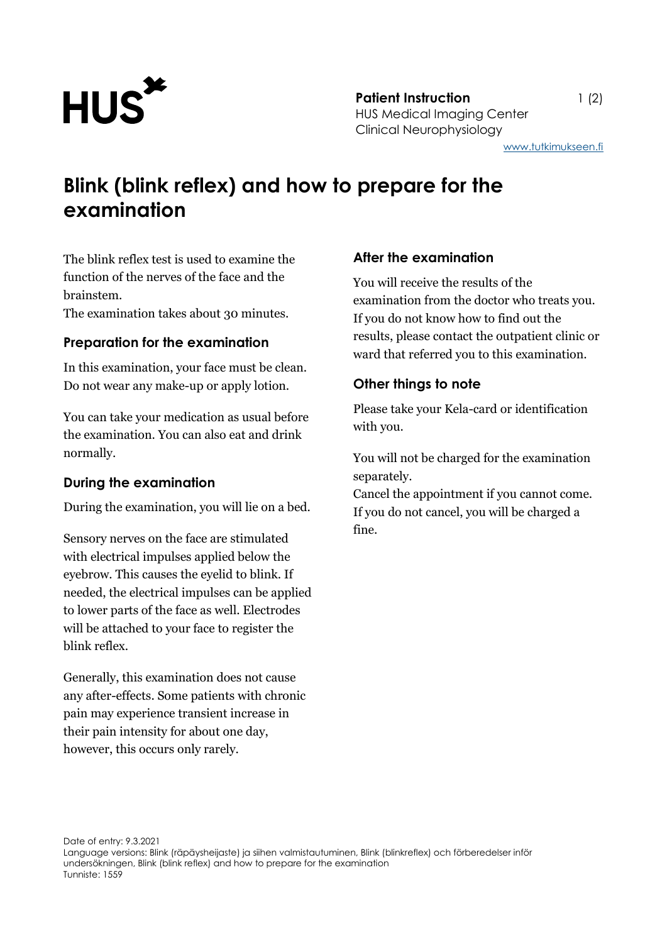

[www.tutkimukseen.fi](http://www.tutkimukseen.fi/)

# **Blink (blink reflex) and how to prepare for the examination**

The blink reflex test is used to examine the function of the nerves of the face and the brainstem.

The examination takes about 30 minutes.

## **Preparation for the examination**

In this examination, your face must be clean. Do not wear any make-up or apply lotion.

You can take your medication as usual before the examination. You can also eat and drink normally.

## **During the examination**

During the examination, you will lie on a bed.

Sensory nerves on the face are stimulated with electrical impulses applied below the eyebrow. This causes the eyelid to blink. If needed, the electrical impulses can be applied to lower parts of the face as well. Electrodes will be attached to your face to register the blink reflex.

Generally, this examination does not cause any after-effects. Some patients with chronic pain may experience transient increase in their pain intensity for about one day, however, this occurs only rarely.

### **After the examination**

You will receive the results of the examination from the doctor who treats you. If you do not know how to find out the results, please contact the outpatient clinic or ward that referred you to this examination.

## **Other things to note**

Please take your Kela-card or identification with you.

You will not be charged for the examination separately.

Cancel the appointment if you cannot come. If you do not cancel, you will be charged a fine.